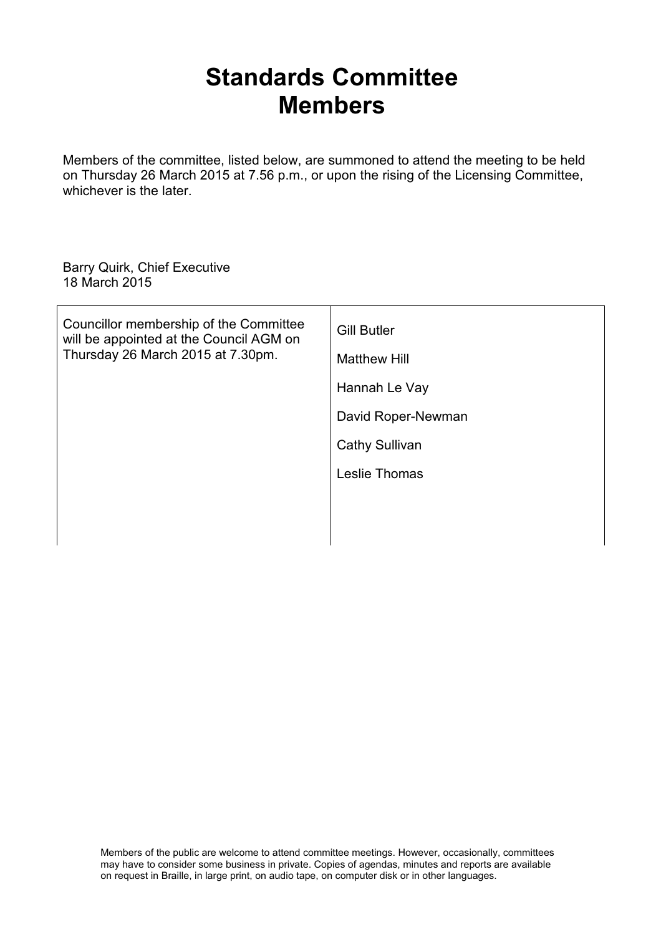## Standards Committee Members

Members of the committee, listed below, are summoned to attend the meeting to be held on Thursday 26 March 2015 at 7.56 p.m., or upon the rising of the Licensing Committee, whichever is the later.

Barry Quirk, Chief Executive 18 March 2015

| Councillor membership of the Committee<br>will be appointed at the Council AGM on<br>Thursday 26 March 2015 at 7.30pm. | <b>Gill Butler</b>    |
|------------------------------------------------------------------------------------------------------------------------|-----------------------|
|                                                                                                                        | <b>Matthew Hill</b>   |
|                                                                                                                        | Hannah Le Vay         |
|                                                                                                                        | David Roper-Newman    |
|                                                                                                                        | <b>Cathy Sullivan</b> |
|                                                                                                                        | Leslie Thomas         |
|                                                                                                                        |                       |
|                                                                                                                        |                       |

Members of the public are welcome to attend committee meetings. However, occasionally, committees may have to consider some business in private. Copies of agendas, minutes and reports are available on request in Braille, in large print, on audio tape, on computer disk or in other languages.